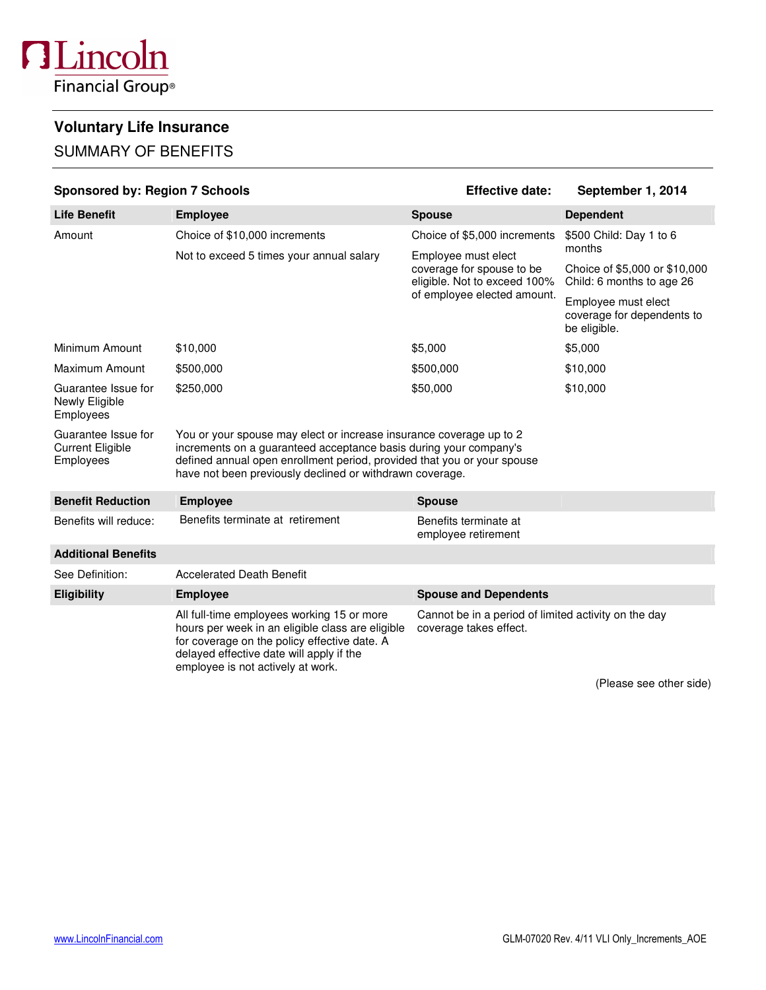# **Voluntary Life Insurance**

# SUMMARY OF BENEFITS

| <b>Sponsored by: Region 7 Schools</b>                       |                                                                                                                                                                                                                                                                                 | <b>Effective date:</b><br>September 1, 2014                                      |                                                                   |  |  |
|-------------------------------------------------------------|---------------------------------------------------------------------------------------------------------------------------------------------------------------------------------------------------------------------------------------------------------------------------------|----------------------------------------------------------------------------------|-------------------------------------------------------------------|--|--|
| <b>Life Benefit</b>                                         | <b>Employee</b>                                                                                                                                                                                                                                                                 | <b>Spouse</b>                                                                    | <b>Dependent</b>                                                  |  |  |
| Amount                                                      | Choice of \$10,000 increments                                                                                                                                                                                                                                                   | Choice of \$5,000 increments                                                     | \$500 Child: Day 1 to 6<br>months                                 |  |  |
|                                                             | Not to exceed 5 times your annual salary                                                                                                                                                                                                                                        | Employee must elect<br>coverage for spouse to be<br>eligible. Not to exceed 100% | Choice of \$5,000 or \$10,000<br>Child: 6 months to age 26        |  |  |
|                                                             |                                                                                                                                                                                                                                                                                 | of employee elected amount.                                                      | Employee must elect<br>coverage for dependents to<br>be eligible. |  |  |
| Minimum Amount                                              | \$10,000                                                                                                                                                                                                                                                                        | \$5,000                                                                          | \$5,000                                                           |  |  |
| Maximum Amount                                              | \$500,000                                                                                                                                                                                                                                                                       | \$500,000                                                                        | \$10,000                                                          |  |  |
| Guarantee Issue for<br>Newly Eligible<br>Employees          | \$250,000                                                                                                                                                                                                                                                                       | \$50,000                                                                         | \$10,000                                                          |  |  |
| Guarantee Issue for<br><b>Current Eligible</b><br>Employees | You or your spouse may elect or increase insurance coverage up to 2<br>increments on a guaranteed acceptance basis during your company's<br>defined annual open enrollment period, provided that you or your spouse<br>have not been previously declined or withdrawn coverage. |                                                                                  |                                                                   |  |  |
| <b>Benefit Reduction</b>                                    | <b>Employee</b>                                                                                                                                                                                                                                                                 | <b>Spouse</b>                                                                    |                                                                   |  |  |
| Benefits will reduce:                                       | Benefits terminate at retirement                                                                                                                                                                                                                                                | Benefits terminate at<br>employee retirement                                     |                                                                   |  |  |
| <b>Additional Benefits</b>                                  |                                                                                                                                                                                                                                                                                 |                                                                                  |                                                                   |  |  |
| See Definition:                                             | <b>Accelerated Death Benefit</b>                                                                                                                                                                                                                                                |                                                                                  |                                                                   |  |  |
| <b>Eligibility</b>                                          | <b>Employee</b>                                                                                                                                                                                                                                                                 | <b>Spouse and Dependents</b>                                                     |                                                                   |  |  |
|                                                             | All full-time employees working 15 or more<br>hours per week in an eligible class are eligible<br>for coverage on the policy effective date. A<br>delayed effective date will apply if the<br>employee is not actively at work.                                                 | Cannot be in a period of limited activity on the day<br>coverage takes effect.   |                                                                   |  |  |

(Please see other side)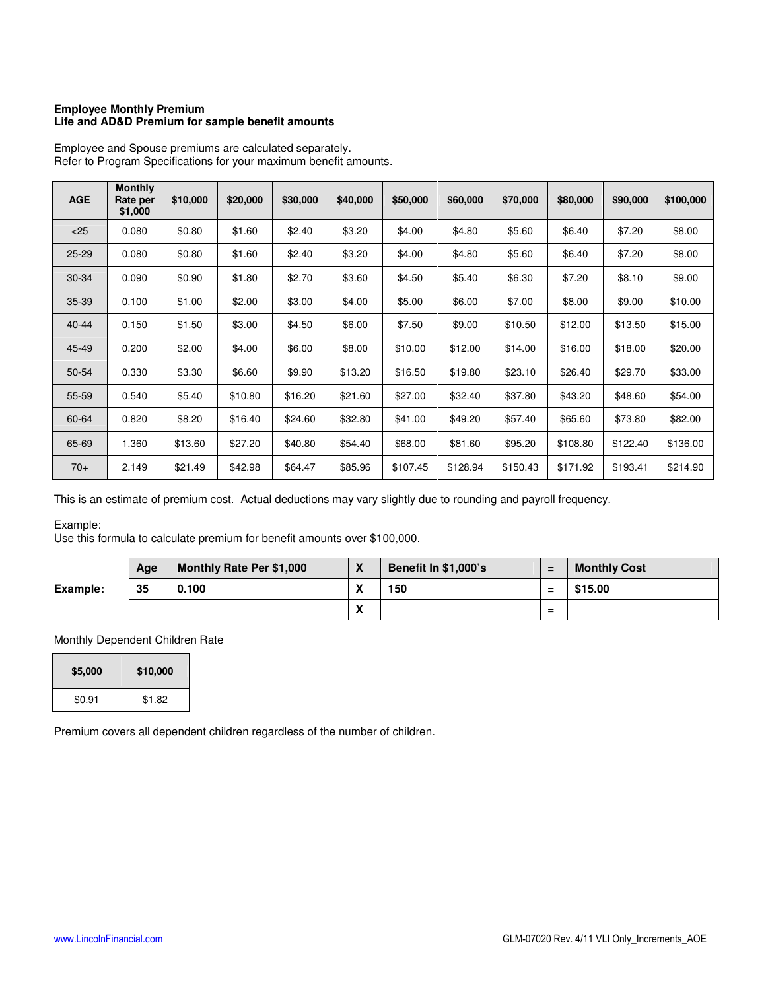### **Employee Monthly Premium Life and AD&D Premium for sample benefit amounts**

| <b>AGE</b> | <b>Monthly</b><br>Rate per<br>\$1,000 | \$10,000 | \$20,000 | \$30,000 | \$40,000 | \$50,000 | \$60,000 | \$70,000 | \$80,000 | \$90,000 | \$100,000 |
|------------|---------------------------------------|----------|----------|----------|----------|----------|----------|----------|----------|----------|-----------|
| < 25       | 0.080                                 | \$0.80   | \$1.60   | \$2.40   | \$3.20   | \$4.00   | \$4.80   | \$5.60   | \$6.40   | \$7.20   | \$8.00    |
| $25 - 29$  | 0.080                                 | \$0.80   | \$1.60   | \$2.40   | \$3.20   | \$4.00   | \$4.80   | \$5.60   | \$6.40   | \$7.20   | \$8.00    |
| 30-34      | 0.090                                 | \$0.90   | \$1.80   | \$2.70   | \$3.60   | \$4.50   | \$5.40   | \$6.30   | \$7.20   | \$8.10   | \$9.00    |
| 35-39      | 0.100                                 | \$1.00   | \$2.00   | \$3.00   | \$4.00   | \$5.00   | \$6.00   | \$7.00   | \$8.00   | \$9.00   | \$10.00   |
| $40 - 44$  | 0.150                                 | \$1.50   | \$3.00   | \$4.50   | \$6.00   | \$7.50   | \$9.00   | \$10.50  | \$12.00  | \$13.50  | \$15.00   |
| 45-49      | 0.200                                 | \$2.00   | \$4.00   | \$6.00   | \$8.00   | \$10.00  | \$12.00  | \$14.00  | \$16.00  | \$18.00  | \$20.00   |
| 50-54      | 0.330                                 | \$3.30   | \$6.60   | \$9.90   | \$13.20  | \$16.50  | \$19.80  | \$23.10  | \$26.40  | \$29.70  | \$33.00   |
| 55-59      | 0.540                                 | \$5.40   | \$10.80  | \$16.20  | \$21.60  | \$27.00  | \$32.40  | \$37.80  | \$43.20  | \$48.60  | \$54.00   |
| 60-64      | 0.820                                 | \$8.20   | \$16.40  | \$24.60  | \$32.80  | \$41.00  | \$49.20  | \$57.40  | \$65.60  | \$73.80  | \$82.00   |
| 65-69      | 1.360                                 | \$13.60  | \$27.20  | \$40.80  | \$54.40  | \$68.00  | \$81.60  | \$95.20  | \$108.80 | \$122.40 | \$136.00  |
| $70+$      | 2.149                                 | \$21.49  | \$42.98  | \$64.47  | \$85.96  | \$107.45 | \$128.94 | \$150.43 | \$171.92 | \$193.41 | \$214.90  |

Employee and Spouse premiums are calculated separately. Refer to Program Specifications for your maximum benefit amounts.

This is an estimate of premium cost. Actual deductions may vary slightly due to rounding and payroll frequency.

# Example:

Use this formula to calculate premium for benefit amounts over \$100,000.

|          | Age | <b>Monthly Rate Per \$1,000</b> | $\mathbf v$<br>$\mathbf{\Lambda}$ | <b>Benefit In \$1,000's</b> | =        | <b>Monthly Cost</b> |
|----------|-----|---------------------------------|-----------------------------------|-----------------------------|----------|---------------------|
| Example: | 35  | 0.100                           | v<br>$\boldsymbol{\mathsf{A}}$    | 150                         | $\equiv$ | \$15.00             |
|          |     |                                 | v<br>$\lambda$                    |                             | Ξ        |                     |

# Monthly Dependent Children Rate

| \$5,000 | \$10,000 |
|---------|----------|
| \$0.91  | \$1.82   |

Premium covers all dependent children regardless of the number of children.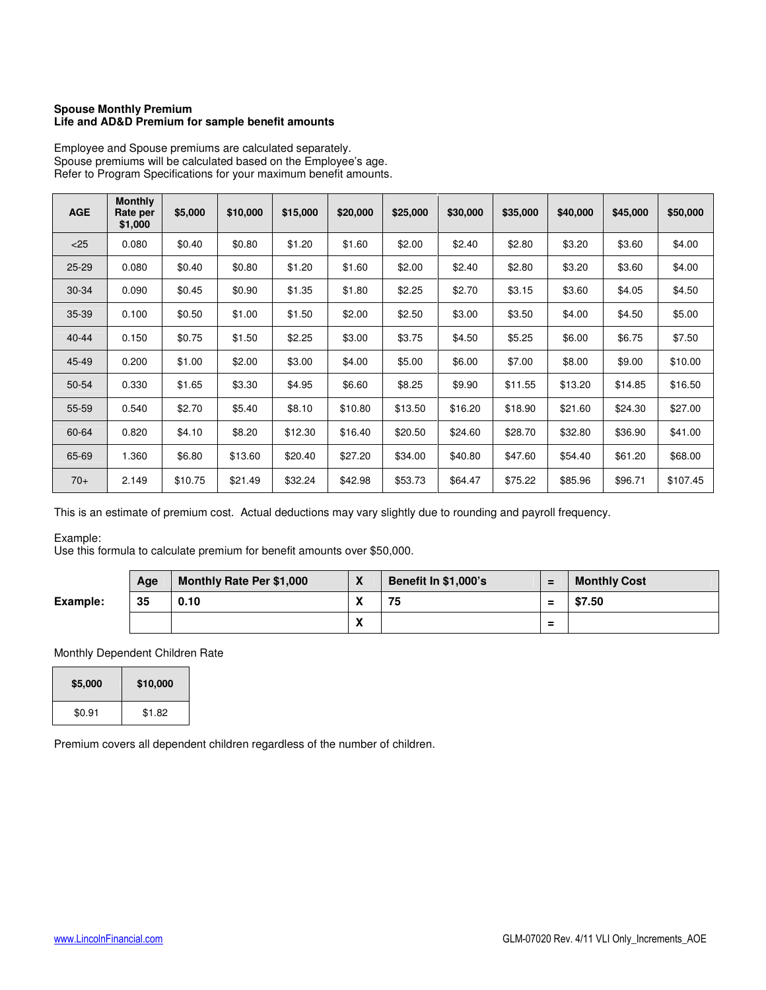#### **Spouse Monthly Premium Life and AD&D Premium for sample benefit amounts**

| <b>AGE</b> | <b>Monthly</b><br>Rate per<br>\$1,000 | \$5,000 | \$10,000 | \$15,000 | \$20,000 | \$25,000 | \$30,000 | \$35,000 | \$40,000 | \$45,000 | \$50,000 |
|------------|---------------------------------------|---------|----------|----------|----------|----------|----------|----------|----------|----------|----------|
| < 25       | 0.080                                 | \$0.40  | \$0.80   | \$1.20   | \$1.60   | \$2.00   | \$2.40   | \$2.80   | \$3.20   | \$3.60   | \$4.00   |
| $25 - 29$  | 0.080                                 | \$0.40  | \$0.80   | \$1.20   | \$1.60   | \$2.00   | \$2.40   | \$2.80   | \$3.20   | \$3.60   | \$4.00   |
| $30 - 34$  | 0.090                                 | \$0.45  | \$0.90   | \$1.35   | \$1.80   | \$2.25   | \$2.70   | \$3.15   | \$3.60   | \$4.05   | \$4.50   |
| 35-39      | 0.100                                 | \$0.50  | \$1.00   | \$1.50   | \$2.00   | \$2.50   | \$3.00   | \$3.50   | \$4.00   | \$4.50   | \$5.00   |
| $40 - 44$  | 0.150                                 | \$0.75  | \$1.50   | \$2.25   | \$3.00   | \$3.75   | \$4.50   | \$5.25   | \$6.00   | \$6.75   | \$7.50   |
| 45-49      | 0.200                                 | \$1.00  | \$2.00   | \$3.00   | \$4.00   | \$5.00   | \$6.00   | \$7.00   | \$8.00   | \$9.00   | \$10.00  |
| 50-54      | 0.330                                 | \$1.65  | \$3.30   | \$4.95   | \$6.60   | \$8.25   | \$9.90   | \$11.55  | \$13.20  | \$14.85  | \$16.50  |
| 55-59      | 0.540                                 | \$2.70  | \$5.40   | \$8.10   | \$10.80  | \$13.50  | \$16.20  | \$18.90  | \$21.60  | \$24.30  | \$27.00  |
| 60-64      | 0.820                                 | \$4.10  | \$8.20   | \$12.30  | \$16.40  | \$20.50  | \$24.60  | \$28.70  | \$32.80  | \$36.90  | \$41.00  |
| 65-69      | 1.360                                 | \$6.80  | \$13.60  | \$20.40  | \$27.20  | \$34.00  | \$40.80  | \$47.60  | \$54.40  | \$61.20  | \$68.00  |
| $70+$      | 2.149                                 | \$10.75 | \$21.49  | \$32.24  | \$42.98  | \$53.73  | \$64.47  | \$75.22  | \$85.96  | \$96.71  | \$107.45 |

Employee and Spouse premiums are calculated separately. Spouse premiums will be calculated based on the Employee's age. Refer to Program Specifications for your maximum benefit amounts.

This is an estimate of premium cost. Actual deductions may vary slightly due to rounding and payroll frequency.

## Example:

Use this formula to calculate premium for benefit amounts over \$50,000.

|          | Age | <b>Monthly Rate Per \$1,000</b> | $\overline{\mathbf{v}}$<br>$\mathbf{\Lambda}$ | <b>Benefit In \$1,000's</b> | $=$                           | <b>Monthly Cost</b> |
|----------|-----|---------------------------------|-----------------------------------------------|-----------------------------|-------------------------------|---------------------|
| Example: | 35  | 0.10                            | $\mathbf{v}$<br>$\mathbf{v}$                  | 75                          | Ξ                             | \$7.50              |
|          |     |                                 | $\mathbf{v}$<br>$\mathbf{v}$                  |                             | $\overline{\phantom{0}}$<br>- |                     |

### Monthly Dependent Children Rate

| \$5,000 | \$10,000 |
|---------|----------|
| \$0.91  | \$1.82   |

Premium covers all dependent children regardless of the number of children.